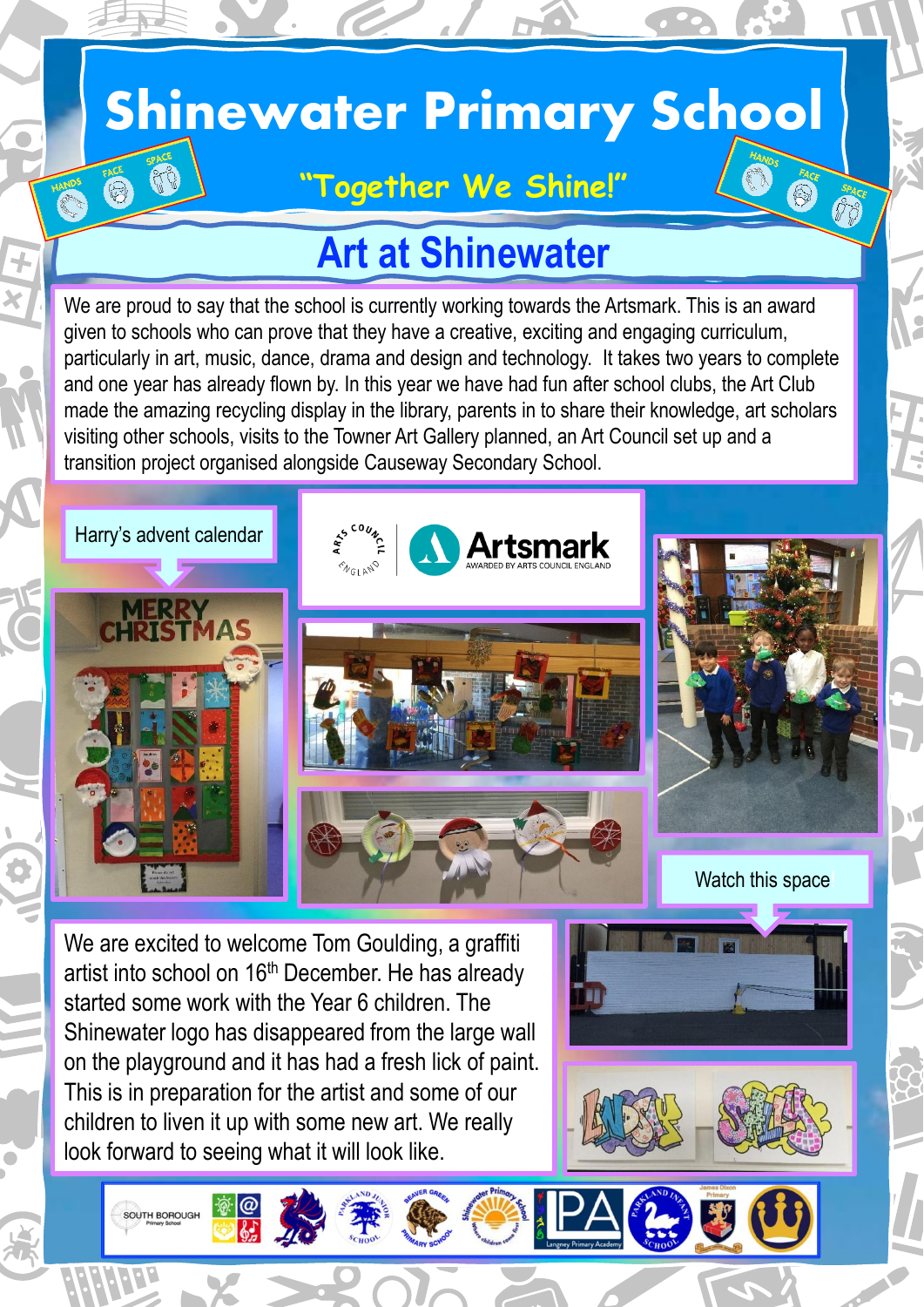## **Shinewater Primary School**

### **"Together We Shine!"**

## **Art at Shinewater**

We are proud to say that the school is currently working towards the Artsmark. This is an award given to schools who can prove that they have a creative, exciting and engaging curriculum, particularly in art, music, dance, drama and design and technology. It takes two years to complete and one year has already flown by. In this year we have had fun after school clubs, the Art Club made the amazing recycling display in the library, parents in to share their knowledge, art scholars visiting other schools, visits to the Towner Art Gallery planned, an Art Council set up and a transition project organised alongside Causeway Secondary School.

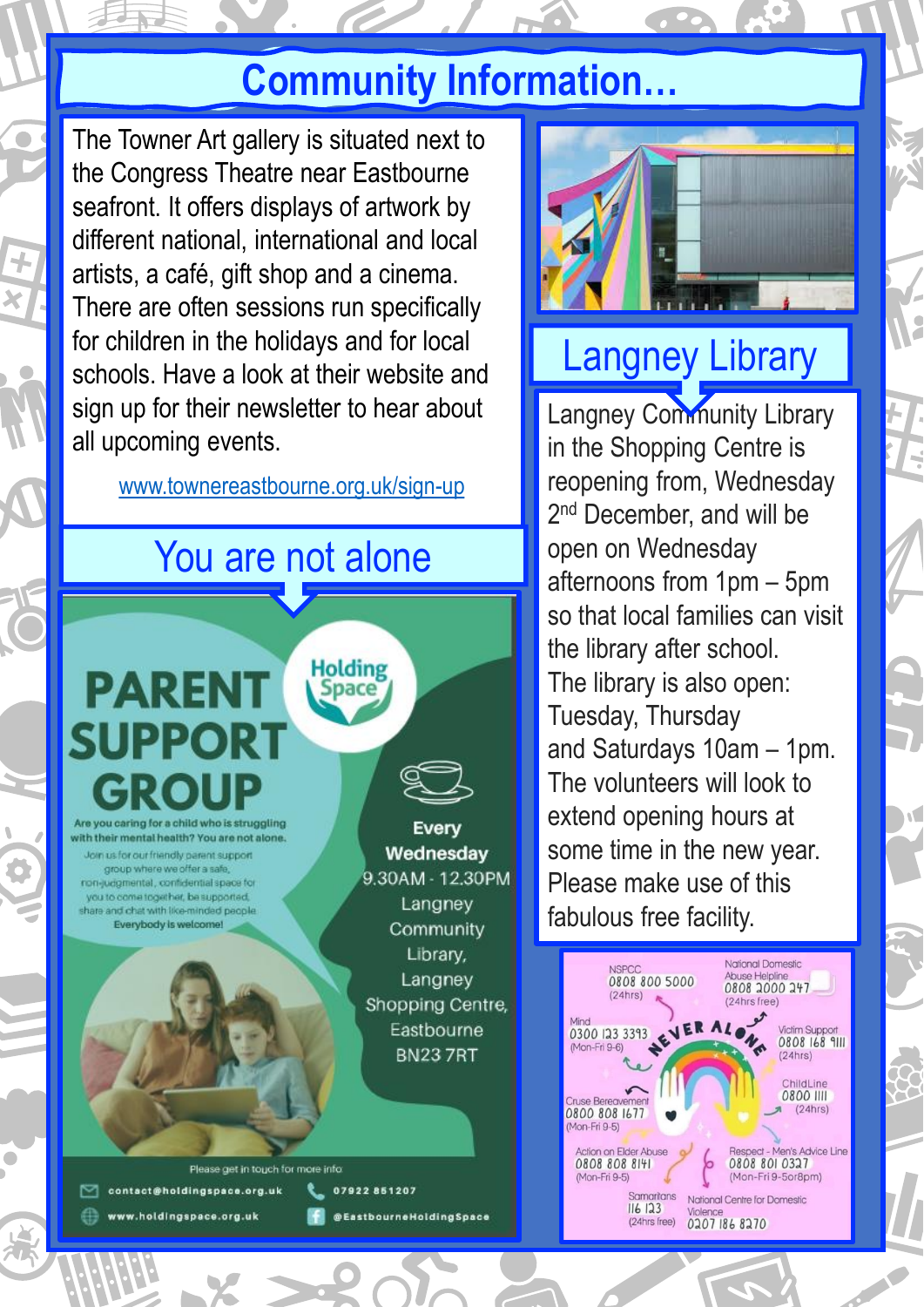## **Community Information…**

 $\frac{1}{2}$ The Towner Art gallery is situated next to the Congress Theatre near Eastbourne seafront. It offers displays of artwork by different national, international and local artists, a café, gift shop and a cinema. There are often sessions run specifically for children in the holidays and for local schools. Have a look at their website and sign up for their newsletter to hear about all upcoming events.

[www.townereastbourne.org.uk/sign-up](Newsletter 11.pptx)

## You are not alone

**Holding** 

# **PARENT SUPPORT**

ith their mental health? You are not alone in us for our friendly parent suppor

oroup where we offer a safe non-judgmental, confidential space for you to come together, be supported. share and chat with like-minded people Everybody is welcome

Every Wednesdav 9.30AM - 12.30PM Langney Community Library, Langney Shopping Centre, Eastbourne **BN237RT** 

@EastbourneHoldingSpace

Please get in touch for more infor 07922851207 contact@holdingspace.org.uk

www.holdingspace.org.uk



## Langney Library

Langney Community Library in the Shopping Centre is reopening from, Wednesday 2<sup>nd</sup> December, and will be open on Wednesday afternoons from 1pm – 5pm so that local families can visit the library after school. The library is also open: Tuesday, Thursday and Saturdays 10am – 1pm. The volunteers will look to extend opening hours at some time in the new year. Please make use of this fabulous free facility.

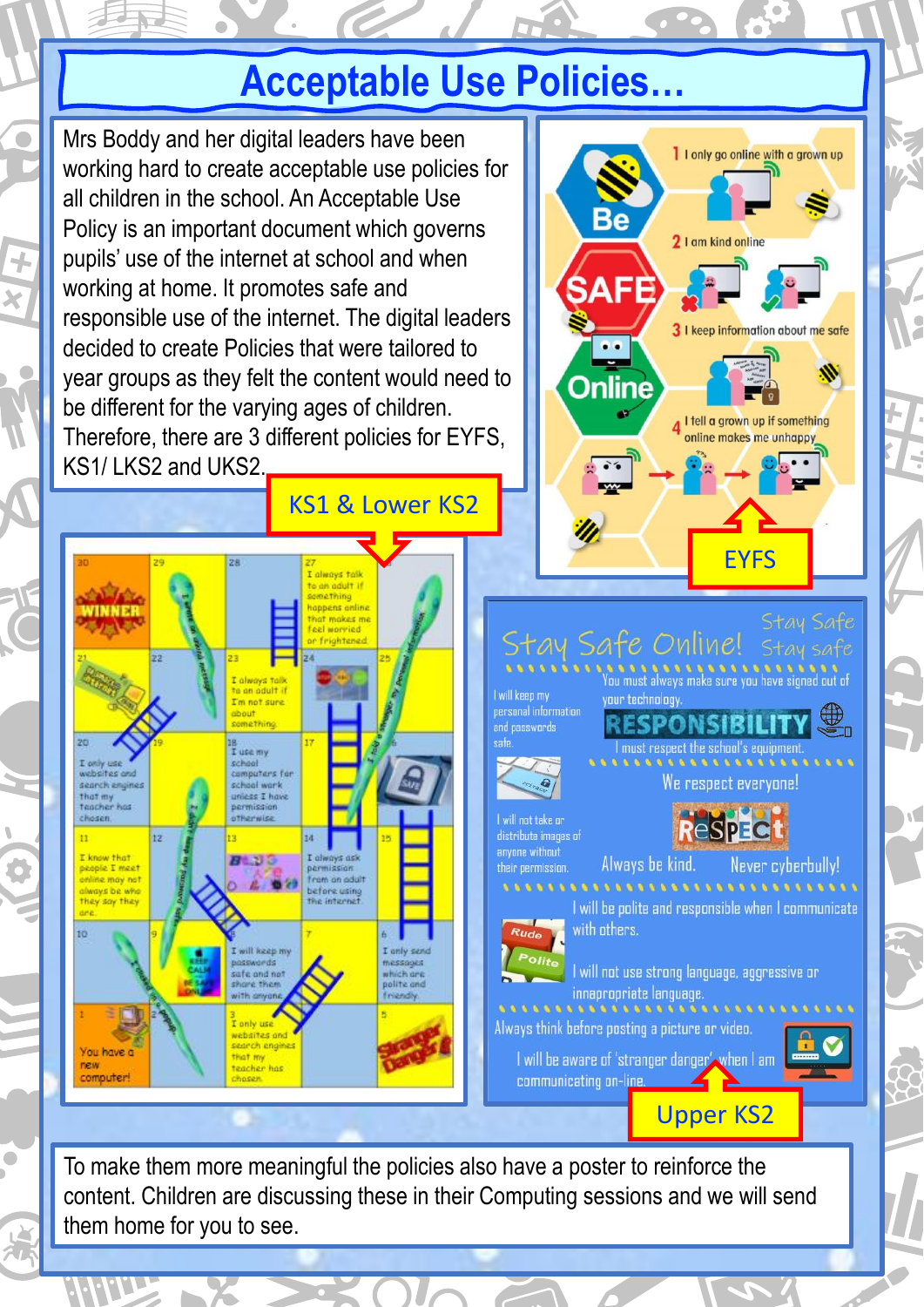## **Acceptable Use Policies…**

Mrs Boddy and her digital leaders have been which Boddy and not digital readers have been all children in the school. An Acceptable Use Be Policy is an important document which governs pupils' use of the internet at school and when working at home. It promotes safe and responsible use of the internet. The digital leaders decided to create Policies that were tailored to year groups as they felt the content would need to **Online** be different for the varying ages of children. Therefore, there are 3 different policies for EYFS, KS1/ LKS2 and UKS2. KS1 & Lower KS2 tay Safe Online! will keen my your technology. personal information **SPONSIBILIT** and nasswords must respect the school's equipment T use will websites and mouters for search envines anvone without  $B$   $D$   $C$  $F$  may before using with others.

earch eng

You have a

new

Always be kind. Never cyberbully! I will be polite and responsible when I communicate

We respect evervone!

**FYFS** 

Stau Safe

I I only go online with a grown up

3 I keep information about me safe

I tell a grown up if something online makes me unhappy

2 I am kind online

l will not use strong language, aggressive or innapropriate language

 $888888$ Always think before posting a picture or video.

I will be aware of 'stranger danger' when I am communicating on-line

Upper KS2

To make them more meaningful the policies also have a poster to reinforce the content. Children are discussing these in their Computing sessions and we will send them home for you to see.